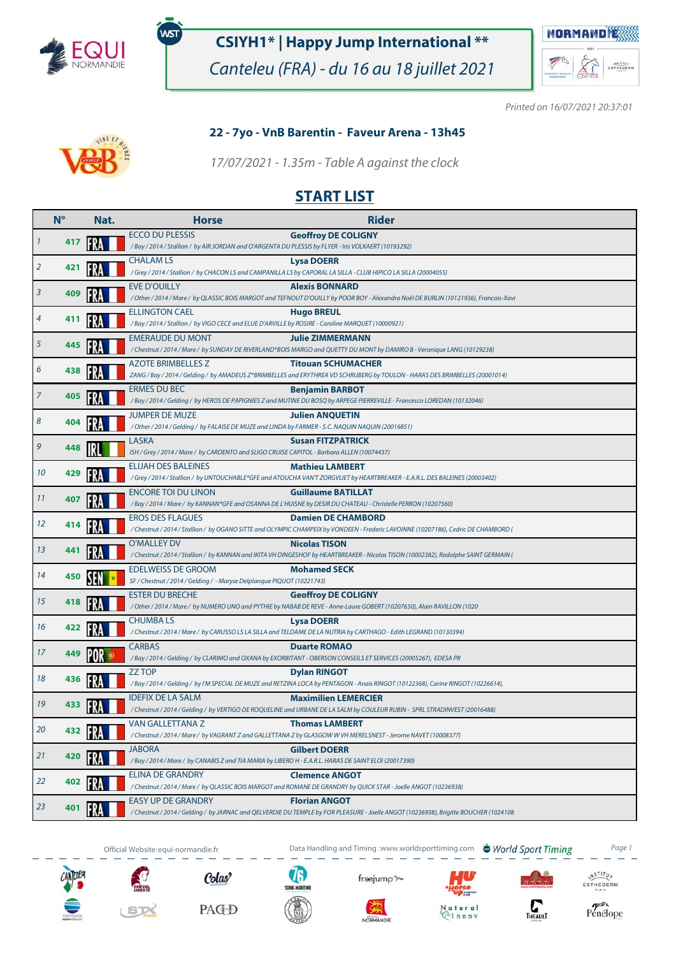

໌<br>WST

## **CSIYH1\* | Happy Jump International \*\***

Canteleu (FRA) - du 16 au 18 juillet 2021



Printed on 16/07/2021 20:37:01



### **22 - 7yo - VnB Barentin - Faveur Arena - 13h45**

17/07/2021 - 1.35m - Table A against the clock

### **START LIST**

|    | $N^{\circ}$ | Nat. | <b>Horse</b>                                                                                        | <b>Rider</b>                                                                                                                                                    |
|----|-------------|------|-----------------------------------------------------------------------------------------------------|-----------------------------------------------------------------------------------------------------------------------------------------------------------------|
|    | 417         |      | <b>ECCO DU PLESSIS</b>                                                                              | <b>Geoffroy DE COLIGNY</b><br>/ Bay / 2014 / Stallion / by AIR JORDAN and O'ARGENTA DU PLESSIS by FLYER - Iris VOLKAERT (10193292)                              |
| 2  | 421         |      | <b>CHALAM LS</b>                                                                                    | <b>Lysa DOERR</b><br>/ Grey / 2014 / Stallion / by CHACON LS and CAMPANILLA LS by CAPORAL LA SILLA - CLUB HIPICO LA SILLA (20004055)                            |
| 3  | 409         |      | <b>EVE D'OUILLY</b>                                                                                 | <b>Alexis BONNARD</b><br>/ Other / 2014 / Mare / by QLASSIC BOIS MARGOT and TEFNOUT D'OUILLY by POOR BOY - Alexandra Noël DE BURLIN (10121936), Francois-Xavi   |
| 4  | 411         |      | <b>ELLINGTON CAEL</b>                                                                               | <b>Hugo BREUL</b><br>/ Bay / 2014 / Stallion / by VIGO CECE and ELUE D'ARVILLE by ROSIRE - Caroline MARQUET (10000921)                                          |
| 5  | 445         |      | <b>EMERAUDE DU MONT</b>                                                                             | <b>Julie ZIMMERMANN</b><br>/ Chestnut / 2014 / Mare / by SUNDAY DE RIVERLAND*BOIS MARGO and QUETTY DU MONT by DAMIRO B - Veronique LANG (10129238)              |
| 6  | 438         |      | <b>AZOTE BRIMBELLES Z</b>                                                                           | <b>Titouan SCHUMACHER</b><br>ZANG / Bay / 2014 / Gelding / by AMADEUS Z*BRIMBELLES and ERYTHREA VD SCHRIJBERG by TOULON - HARAS DES BRIMBELLES (20001014)       |
| 7  | 405         |      | <b>ERMES DU BEC</b>                                                                                 | <b>Benjamin BARBOT</b><br>/ Bay / 2014 / Gelding / by HEROS DE PAPIGNIES Z and MUTINE DU BOSQ by ARPEGE PIERREVILLE - Francesco LOREDAN (10132046)              |
| 8  | 404         |      | <b>JUMPER DE MUZE</b>                                                                               | <b>Julien ANQUETIN</b><br>/ Other / 2014 / Gelding / by FALAISE DE MUZE and LINDA by FARMER - S.C. NAQUIN NAQUIN (20016851)                                     |
| 9  | 448         |      | LASKA<br>ISH / Grey / 2014 / Mare / by CARDENTO and SLIGO CRUISE CAPITOL - Barbara ALLEN (10074437) | <b>Susan FITZPATRICK</b>                                                                                                                                        |
| 10 | 429         |      | <b>ELIJAH DES BALEINES</b>                                                                          | <b>Mathieu LAMBERT</b><br>/Grey / 2014 / Stallion / by UNTOUCHABLE*GFE and ATOUCHA VAN'T ZORGVLIET by HEARTBREAKER - E.A.R.L. DES BALEINES (20003402)           |
| 11 | 407         |      | ENCORE TOI DU LINON                                                                                 | <b>Guillaume BATILLAT</b><br>/ Bay / 2014 / Mare / by KANNAN*GFE and OSANNA DE L'HUISNE by DESIR DU CHATEAU - Christelle PERRON (10207560)                      |
| 12 | 414         |      | <b>EROS DES FLAGUES</b>                                                                             | <b>Damien DE CHAMBORD</b><br>/ Chestnut / 2014 / Stallion / by OGANO SITTE and OLYMPIC CHAMPEIX by VONDEEN - Frederic LAVOINNE (10207186), Cedric DE CHAMBORD ( |
| 13 | 441         |      | <b>O'MALLEY DV</b>                                                                                  | <b>Nicolas TISON</b><br>/ Chestnut / 2014 / Stallion / by KANNAN and IKITA VH DINGESHOF by HEARTBREAKER - Nicolas TISON (10002382), Rodolphe SAINT GERMAIN (    |
| 14 | 450         |      | <b>EDELWEISS DE GROOM</b><br>SF / Chestnut / 2014 / Gelding / - Maryse Delplanque PIQUOT (10221743) | <b>Mohamed SECK</b>                                                                                                                                             |
| 15 | 418         |      | <b>ESTER DU BRECHE</b>                                                                              | <b>Geoffroy DE COLIGNY</b><br>/ Other / 2014 / Mare / by NUMERO UNO and PYTHIE by NABAB DE REVE - Anne-Laure GOBERT (10207650), Alain RAVILLON (1020            |
| 16 | 422         |      | <b>CHUMBALS</b>                                                                                     | <b>Lysa DOERR</b><br>/ Chestnut / 2014 / Mare / by CARUSSO LS LA SILLA and TELDAME DE LA NUTRIA by CARTHAGO - Edith LEGRAND (10130394)                          |
| 17 | 449         |      | <b>CARBAS</b>                                                                                       | <b>Duarte ROMAO</b><br>/Bay/2014/Gelding/ by CLARIMO and OXANA by EXORBITANT - OBERSON CONSEILS ET SERVICES (20005267), EDESA PR                                |
| 18 | 436         |      | <b>ZZ TOP</b>                                                                                       | <b>Dylan RINGOT</b><br>/Bay / 2014 / Gelding / by I'M SPECIAL DE MUZE and RETZINA LOCA by PENTAGON - Anais RINGOT (10122368), Carine RINGOT (10226614),         |
| 19 | 433         |      | <b>IDEFIX DE LA SALM</b>                                                                            | <b>Maximilien LEMERCIER</b><br>/ Chestnut / 2014 / Gelding / by VERTIGO DE ROQUELINE and URBANE DE LA SALM by COULEUR RUBIN - SPRL STRADINVEST (20016488)       |
| 20 | 432         |      | VAN GALLETTANA Z                                                                                    | <b>Thomas LAMBERI</b><br>/ Chestnut / 2014 / Mare / by VAGRANT Z and GALLETTANA Z by GLASGOW W VH MERELSNEST - Jerome NAVET (10008377)                          |
| 21 | 420         |      | <b>JABORA</b>                                                                                       | <b>Gilbert DOERR</b><br>/ Bay / 2014 / Mare / by CANABIS Z and TIA MARIA by LIBERO H - E.A.R.L. HARAS DE SAINT ELOI (20017390)                                  |
| 22 | 402         |      | ELINA DE GRANDRY                                                                                    | <b>Clemence ANGOT</b><br>/ Chestnut / 2014 / Mare / by QLASSIC BOIS MARGOT and ROMANE DE GRANDRY by QUICK STAR - Joelle ANGOT (10236938)                        |
| 23 | 401         |      | <b>EASY UP DE GRANDRY</b>                                                                           | <b>Florian ANGOT</b><br>/ Chestnut / 2014 / Gelding / by JARNAC and QELVERDIE DU TEMPLE by FOR PLEASURE - Joelle ANGOT (10236938), Brigitte BOUCHER (1024108    |
|    |             |      |                                                                                                     |                                                                                                                                                                 |



SIX





Official Website:equi-normandie.fr **Data Handling and Timing :www.worldsporttiming.com The World Sport Timing** Page 1

frsejump'



 $\sum_{\text{THEAUL}}$ 



 $ur<sub>a</sub>$ 

 $\begin{matrix} \sqrt{N} \frac{S}{T} & T & T \\ \sqrt{N} & T & T \\ \hline \end{matrix}$